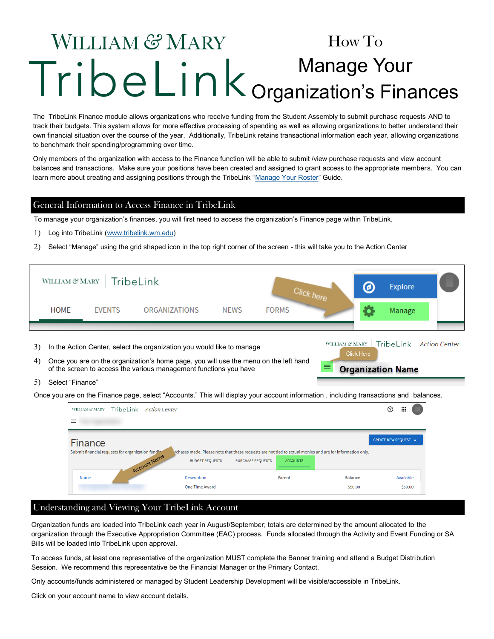# WILLIAM & MARY How To Manage Your Organization's Finances

The TribeLink Finance module allows organizations who receive funding from the Student Assembly to submit purchase requests AND to track their budgets. This system allows for more effective processing of spending as well as allowing organizations to better understand their own financial situation over the course of the year. Additionally, TribeLink retains transactional information each year, allowing organizations to benchmark their spending/programming over time.

Only members of the organization with access to the Finance function will be able to submit /view purchase requests and view account balances and transactions. Make sure your positions have been created and assigned to grant access to the appropriate members. You can learn more about creating and assigning positions through the TribeLink ["Manage Your Roster"](https://www.wm.edu/offices/studentleadershipdevelopment/documents/tribelink/tl-manage-roster.pdf) Guide.

#### General Information to Access Finance in TribeLink

To manage your organization's finances, you will first need to access the organization's Finance page within TribeLink.

- Log into TribeLink ([www.tribelink.wm.edu\)](https://tribelink.wm.edu/)
- Select "Manage" using the grid shaped icon in the top right corner of the screen this will take you to the Action Center

| WILLIAM & MARY   TribeLink |               |               |      |              | ℗ | <b>Explore</b>                     |  |
|----------------------------|---------------|---------------|------|--------------|---|------------------------------------|--|
| <b>HOME</b>                | <b>EVENTS</b> | ORGANIZATIONS | NEWS | <b>FORMS</b> |   | Manage                             |  |
|                            |               |               |      |              |   | WILLMANARY Tribolink Action Contor |  |

- 3) In the Action Center, select the organization you would like to manage
- Once you are on the organization's home page, you will use the menu on the left hand of the screen to access the various management functions you have
- 5) Select "Finance"

Once you are on the Finance page, select "Accounts." This will display your account information , including transactions and balances.

| TribeLink<br>WILLIAM & MARY<br><b>Action Center</b>                           |                                             |                          |                 |                                                                                                           | ℗                    | 擸                    |  |
|-------------------------------------------------------------------------------|---------------------------------------------|--------------------------|-----------------|-----------------------------------------------------------------------------------------------------------|----------------------|----------------------|--|
| $\equiv$                                                                      |                                             |                          |                 |                                                                                                           |                      |                      |  |
| Finance<br>Submit financial requests for organization funding<br>Account Name | <b>BUDGET REQUESTS</b>                      | <b>PURCHASE REQUESTS</b> | <b>ACCOUNTS</b> | rchases made. Please note that these requests are not tied to actual monies and are for information only. | CREATE NEW REQUEST ▼ |                      |  |
| Name                                                                          | <b>Description</b><br><b>One Time Award</b> |                          | Parent          | <b>Balance</b><br>\$50.00                                                                                 |                      | Available<br>\$50.00 |  |

Click Here

**Organization Name** 

#### Understanding and Viewing Your TribeLink Account

Organization funds are loaded into TribeLink each year in August/September; totals are determined by the amount allocated to the organization through the Executive Appropriation Committee (EAC) process. Funds allocated through the Activity and Event Funding or SA Bills will be loaded into TribeLink upon approval.

To access funds, at least one representative of the organization MUST complete the Banner training and attend a Budget Distribution Session. We recommend this representative be the Financial Manager or the Primary Contact.

Only accounts/funds administered or managed by Student Leadership Development will be visible/accessible in TribeLink.

Click on your account name to view account details.